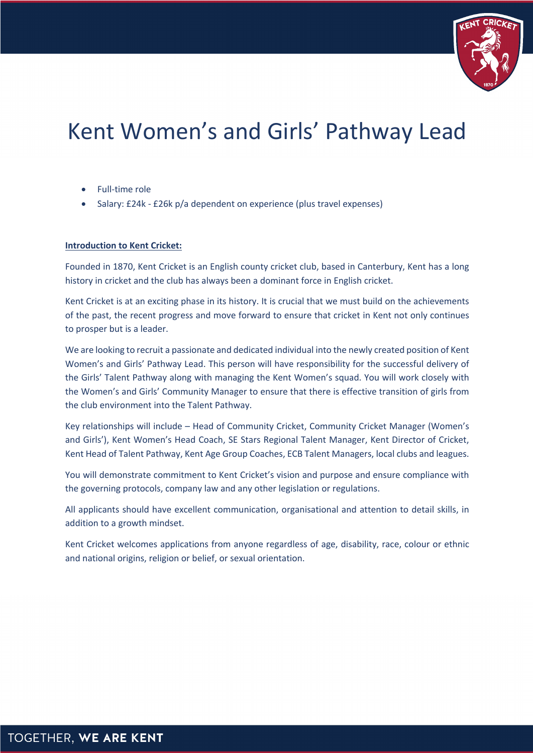

# Kent Women's and Girls' Pathway Lead

- Full-time role
- Salary: £24k £26k p/a dependent on experience (plus travel expenses)

## **Introduction to Kent Cricket:**

Founded in 1870, Kent Cricket is an English county cricket club, based in Canterbury, Kent has a long history in cricket and the club has always been a dominant force in English cricket.

Kent Cricket is at an exciting phase in its history. It is crucial that we must build on the achievements of the past, the recent progress and move forward to ensure that cricket in Kent not only continues to prosper but is a leader.

We are looking to recruit a passionate and dedicated individual into the newly created position of Kent Women's and Girls' Pathway Lead. This person will have responsibility for the successful delivery of the Girls' Talent Pathway along with managing the Kent Women's squad. You will work closely with the Women's and Girls' Community Manager to ensure that there is effective transition of girls from the club environment into the Talent Pathway.

Key relationships will include – Head of Community Cricket, Community Cricket Manager (Women's and Girls'), Kent Women's Head Coach, SE Stars Regional Talent Manager, Kent Director of Cricket, Kent Head of Talent Pathway, Kent Age Group Coaches, ECB Talent Managers, local clubs and leagues.

You will demonstrate commitment to Kent Cricket's vision and purpose and ensure compliance with the governing protocols, company law and any other legislation or regulations.

All applicants should have excellent communication, organisational and attention to detail skills, in addition to a growth mindset.

Kent Cricket welcomes applications from anyone regardless of age, disability, race, colour or ethnic and national origins, religion or belief, or sexual orientation.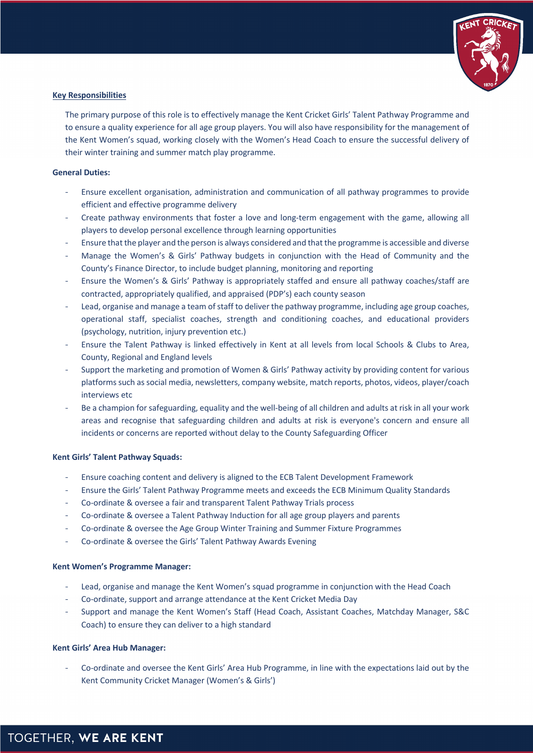

#### **Key Responsibilities**

The primary purpose of this role is to effectively manage the Kent Cricket Girls' Talent Pathway Programme and to ensure a quality experience for all age group players. You will also have responsibility for the management of the Kent Women's squad, working closely with the Women's Head Coach to ensure the successful delivery of their winter training and summer match play programme.

## **General Duties:**

- Ensure excellent organisation, administration and communication of all pathway programmes to provide efficient and effective programme delivery
- Create pathway environments that foster a love and long-term engagement with the game, allowing all players to develop personal excellence through learning opportunities
- Ensure that the player and the person is always considered and that the programme is accessible and diverse
- Manage the Women's & Girls' Pathway budgets in conjunction with the Head of Community and the County's Finance Director, to include budget planning, monitoring and reporting
- Ensure the Women's & Girls' Pathway is appropriately staffed and ensure all pathway coaches/staff are contracted, appropriately qualified, and appraised (PDP's) each county season
- Lead, organise and manage a team of staff to deliver the pathway programme, including age group coaches, operational staff, specialist coaches, strength and conditioning coaches, and educational providers (psychology, nutrition, injury prevention etc.)
- Ensure the Talent Pathway is linked effectively in Kent at all levels from local Schools & Clubs to Area, County, Regional and England levels
- Support the marketing and promotion of Women & Girls' Pathway activity by providing content for various platformssuch as social media, newsletters, company website, match reports, photos, videos, player/coach interviews etc
- Be a champion for safeguarding, equality and the well-being of all children and adults at risk in all your work areas and recognise that safeguarding children and adults at risk is everyone's concern and ensure all incidents or concerns are reported without delay to the County Safeguarding Officer

#### **Kent Girls' Talent Pathway Squads:**

- Ensure coaching content and delivery is aligned to the ECB Talent Development Framework
- Ensure the Girls' Talent Pathway Programme meets and exceeds the ECB Minimum Quality Standards
- Co-ordinate & oversee a fair and transparent Talent Pathway Trials process
- Co-ordinate & oversee a Talent Pathway Induction for all age group players and parents
- Co-ordinate & oversee the Age Group Winter Training and Summer Fixture Programmes
- Co-ordinate & oversee the Girls' Talent Pathway Awards Evening

#### **Kent Women's Programme Manager:**

- Lead, organise and manage the Kent Women's squad programme in conjunction with the Head Coach
- Co-ordinate, support and arrange attendance at the Kent Cricket Media Day
- Support and manage the Kent Women's Staff (Head Coach, Assistant Coaches, Matchday Manager, S&C Coach) to ensure they can deliver to a high standard

#### **Kent Girls' Area Hub Manager:**

- Co-ordinate and oversee the Kent Girls' Area Hub Programme, in line with the expectations laid out by the Kent Community Cricket Manager (Women's & Girls')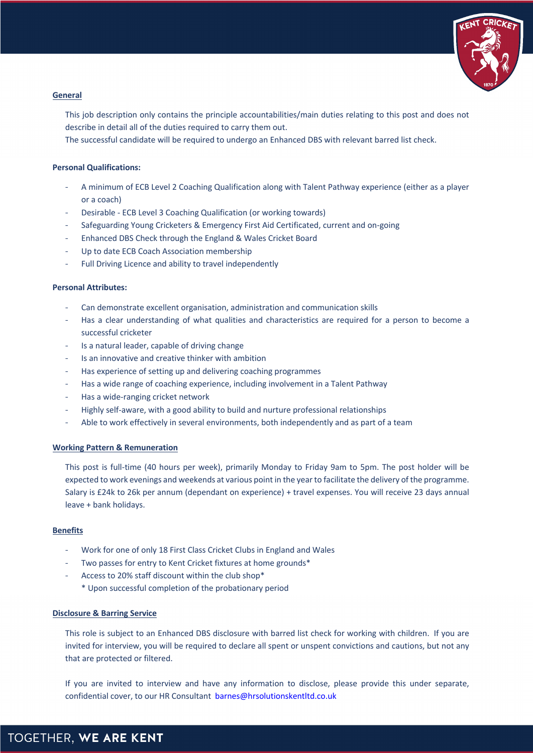

## **General**

This job description only contains the principle accountabilities/main duties relating to this post and does not describe in detail all of the duties required to carry them out.

The successful candidate will be required to undergo an Enhanced DBS with relevant barred list check.

## **Personal Qualifications:**

- A minimum of ECB Level 2 Coaching Qualification along with Talent Pathway experience (either as a player or a coach)
- Desirable ECB Level 3 Coaching Qualification (or working towards)
- Safeguarding Young Cricketers & Emergency First Aid Certificated, current and on-going
- Enhanced DBS Check through the England & Wales Cricket Board
- Up to date ECB Coach Association membership
- Full Driving Licence and ability to travel independently

#### **Personal Attributes:**

- Can demonstrate excellent organisation, administration and communication skills
- Has a clear understanding of what qualities and characteristics are required for a person to become a successful cricketer
- Is a natural leader, capable of driving change
- Is an innovative and creative thinker with ambition
- Has experience of setting up and delivering coaching programmes
- Has a wide range of coaching experience, including involvement in a Talent Pathway
- Has a wide-ranging cricket network
- Highly self-aware, with a good ability to build and nurture professional relationships
- Able to work effectively in several environments, both independently and as part of a team

#### **Working Pattern & Remuneration**

This post is full-time (40 hours per week), primarily Monday to Friday 9am to 5pm. The post holder will be expected to work evenings and weekends at various point in the year to facilitate the delivery of the programme. Salary is £24k to 26k per annum (dependant on experience) + travel expenses. You will receive 23 days annual leave + bank holidays.

#### **Benefits**

- Work for one of only 18 First Class Cricket Clubs in England and Wales
- Two passes for entry to Kent Cricket fixtures at home grounds\*
- Access to 20% staff discount within the club shop\*
	- \* Upon successful completion of the probationary period

#### **Disclosure & Barring Service**

This role is subject to an Enhanced DBS disclosure with barred list check for working with children. If you are invited for interview, you will be required to declare all spent or unspent convictions and cautions, but not any that are protected or filtered.

If you are invited to interview and have any information to disclose, please provide this under separate, confidential cover, to our HR Consultant barnes@hrsolutionskentltd.co.uk